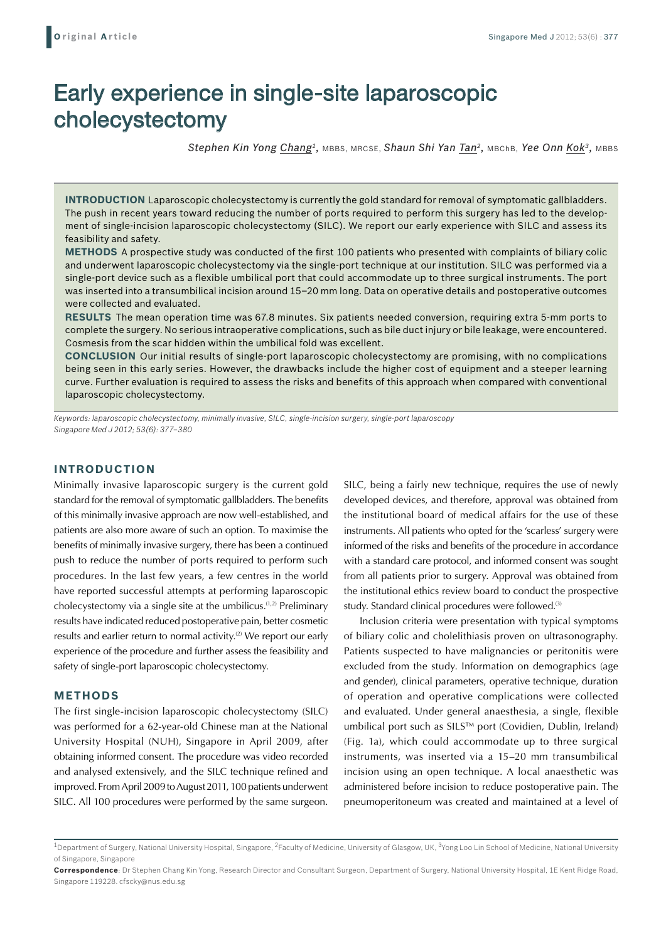# Early experience in single-site laparoscopic cholecystectomy

*Stephen Kin Yong Chang1,* MBBS, MRCSE, *Shaun Shi Yan Tan2,* MBChB, *Yee Onn Kok3,* MBBS

**Introduction** Laparoscopic cholecystectomy is currently the gold standard for removal of symptomatic gallbladders. The push in recent years toward reducing the number of ports required to perform this surgery has led to the development of single-incision laparoscopic cholecystectomy (SILC). We report our early experience with SILC and assess its feasibility and safety.

**Methods** A prospective study was conducted of the first 100 patients who presented with complaints of biliary colic and underwent laparoscopic cholecystectomy via the single-port technique at our institution. SILC was performed via a single-port device such as a flexible umbilical port that could accommodate up to three surgical instruments. The port was inserted into a transumbilical incision around 15–20 mm long. Data on operative details and postoperative outcomes were collected and evaluated.

**Results** The mean operation time was 67.8 minutes. Six patients needed conversion, requiring extra 5-mm ports to complete the surgery. No serious intraoperative complications, such as bile duct injury or bile leakage, were encountered. Cosmesis from the scar hidden within the umbilical fold was excellent.

**Conclusion** Our initial results of single-port laparoscopic cholecystectomy are promising, with no complications being seen in this early series. However, the drawbacks include the higher cost of equipment and a steeper learning curve. Further evaluation is required to assess the risks and benefits of this approach when compared with conventional laparoscopic cholecystectomy.

*Keywords: laparoscopic cholecystectomy, minimally invasive, SILC, single-incision surgery, single-port laparoscopy Singapore Med J 2012; 53(6): 377–380*

## **INTRODUCTION**

Minimally invasive laparoscopic surgery is the current gold standard for the removal of symptomatic gallbladders. The benefits of this minimally invasive approach are now well-established, and patients are also more aware of such an option. To maximise the benefits of minimally invasive surgery, there has been a continued push to reduce the number of ports required to perform such procedures. In the last few years, a few centres in the world have reported successful attempts at performing laparoscopic cholecystectomy via a single site at the umbilicus.(1,2) Preliminary results have indicated reduced postoperative pain, better cosmetic results and earlier return to normal activity.<sup>(2)</sup> We report our early experience of the procedure and further assess the feasibility and safety of single-port laparoscopic cholecystectomy.

### **METHODS**

The first single-incision laparoscopic cholecystectomy (SILC) was performed for a 62-year-old Chinese man at the National University Hospital (NUH), Singapore in April 2009, after obtaining informed consent. The procedure was video recorded and analysed extensively, and the SILC technique refined and improved. From April 2009 to August 2011, 100 patients underwent SILC. All 100 procedures were performed by the same surgeon.

SILC, being a fairly new technique, requires the use of newly developed devices, and therefore, approval was obtained from the institutional board of medical affairs for the use of these instruments. All patients who opted for the 'scarless' surgery were informed of the risks and benefits of the procedure in accordance with a standard care protocol, and informed consent was sought from all patients prior to surgery. Approval was obtained from the institutional ethics review board to conduct the prospective study. Standard clinical procedures were followed.<sup>(3)</sup>

Inclusion criteria were presentation with typical symptoms of biliary colic and cholelithiasis proven on ultrasonography. Patients suspected to have malignancies or peritonitis were excluded from the study. Information on demographics (age and gender), clinical parameters, operative technique, duration of operation and operative complications were collected and evaluated. Under general anaesthesia, a single, flexible umbilical port such as SILS™ port (Covidien, Dublin, Ireland) (Fig. 1a), which could accommodate up to three surgical instruments, was inserted via a 15–20 mm transumbilical incision using an open technique. A local anaesthetic was administered before incision to reduce postoperative pain. The pneumoperitoneum was created and maintained at a level of

<sup>&</sup>lt;sup>1</sup>Department of Surgery, National University Hospital, Singapore, <sup>2</sup>Faculty of Medicine, University of Glasgow, UK, <sup>3</sup>Yong Loo Lin School of Medicine, National University of Singapore, Singapore

**Correspondence**: Dr Stephen Chang Kin Yong, Research Director and Consultant Surgeon, Department of Surgery, National University Hospital, 1E Kent Ridge Road, Singapore 119228. cfscky@nus.edu.sg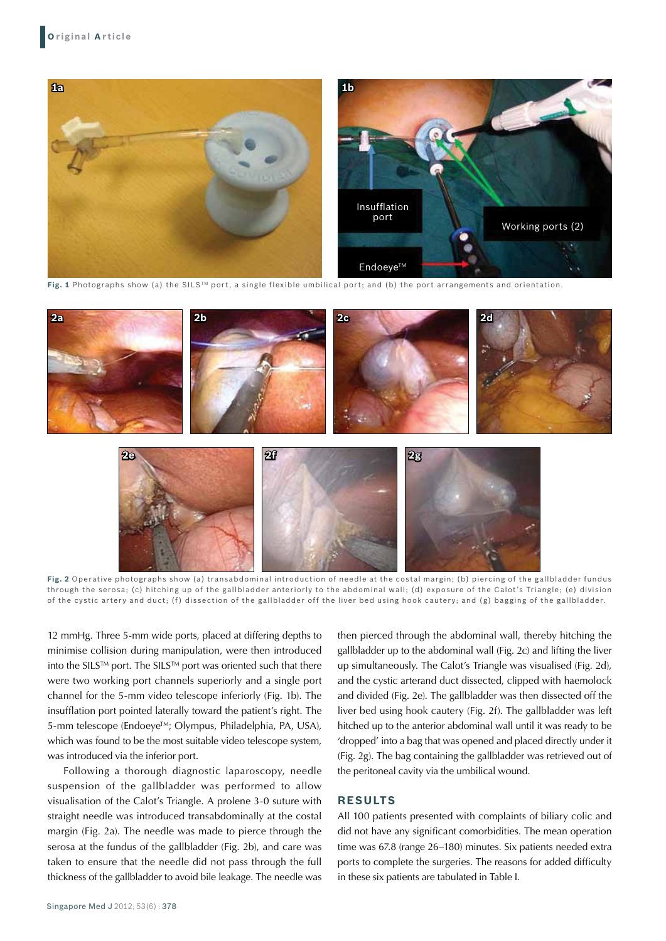

**Fig. 1** Photographs show (a) the SILSTM port, a single flexible umbilical port; and (b) the port arrangements and orientation.



**Fig. 2** Operative photographs show (a) transabdominal introduction of needle at the costal margin; (b) piercing of the gallbladder fundus through the serosa; (c) hitching up of the gallbladder anteriorly to the abdominal wall; (d) exposure of the Calot's Triangle; (e) division of the cystic artery and duct; (f) dissection of the gallbladder off the liver bed using hook cautery; and (g) bagging of the gallbladder.

12 mmHg. Three 5-mm wide ports, placed at differing depths to minimise collision during manipulation, were then introduced into the SILS<sup>TM</sup> port. The SILS<sup>TM</sup> port was oriented such that there were two working port channels superiorly and a single port channel for the 5-mm video telescope inferiorly (Fig. 1b). The insufflation port pointed laterally toward the patient's right. The 5-mm telescope (Endoeye™; Olympus, Philadelphia, PA, USA), which was found to be the most suitable video telescope system. was introduced via the inferior port.

Following a thorough diagnostic laparoscopy, needle suspension of the gallbladder was performed to allow visualisation of the Calot's Triangle. A prolene 3-0 suture with straight needle was introduced transabdominally at the costal margin (Fig. 2a). The needle was made to pierce through the serosa at the fundus of the gallbladder (Fig. 2b), and care was taken to ensure that the needle did not pass through the full thickness of the gallbladder to avoid bile leakage. The needle was

then pierced through the abdominal wall, thereby hitching the gallbladder up to the abdominal wall (Fig. 2c) and lifting the liver up simultaneously. The Calot's Triangle was visualised (Fig. 2d), and the cystic arterand duct dissected, clipped with haemolock and divided (Fig. 2e). The gallbladder was then dissected off the liver bed using hook cautery (Fig. 2f). The gallbladder was left hitched up to the anterior abdominal wall until it was ready to be 'dropped' into a bag that was opened and placed directly under it (Fig. 2g). The bag containing the gallbladder was retrieved out of the peritoneal cavity via the umbilical wound.

## **RESULTS**

All 100 patients presented with complaints of biliary colic and did not have any significant comorbidities. The mean operation time was 67.8 (range 26–180) minutes. Six patients needed extra ports to complete the surgeries. The reasons for added difficulty in these six patients are tabulated in Table I.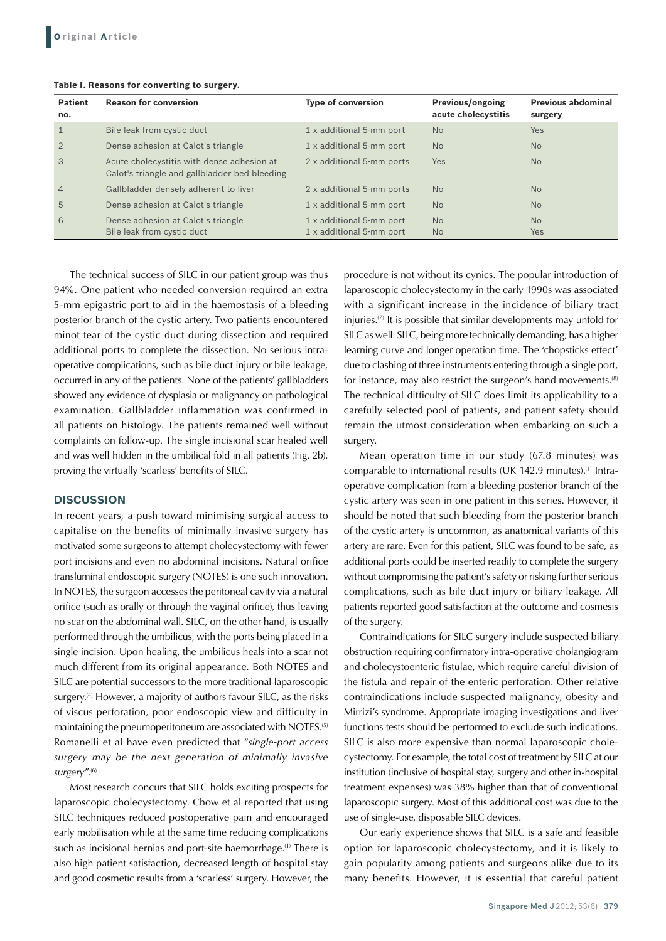| <b>Patient</b><br>no. | <b>Reason for conversion</b>                                                                | <b>Type of conversion</b>                            | <b>Previous/ongoing</b><br>acute cholecystitis | <b>Previous abdominal</b><br>surgery |
|-----------------------|---------------------------------------------------------------------------------------------|------------------------------------------------------|------------------------------------------------|--------------------------------------|
| $\mathbf{1}$          | Bile leak from cystic duct                                                                  | 1 x additional 5-mm port                             | <b>No</b>                                      | <b>Yes</b>                           |
| $\overline{2}$        | Dense adhesion at Calot's triangle                                                          | 1 x additional 5-mm port                             | <b>No</b>                                      | N <sub>o</sub>                       |
| 3                     | Acute cholecystitis with dense adhesion at<br>Calot's triangle and gallbladder bed bleeding | 2 x additional 5-mm ports                            | <b>Yes</b>                                     | N <sub>o</sub>                       |
| $\overline{4}$        | Gallbladder densely adherent to liver                                                       | 2 x additional 5-mm ports                            | <b>No</b>                                      | N <sub>o</sub>                       |
| 5                     | Dense adhesion at Calot's triangle                                                          | 1 x additional 5-mm port                             | <b>No</b>                                      | <b>No</b>                            |
| 6                     | Dense adhesion at Calot's triangle<br>Bile leak from cystic duct                            | 1 x additional 5-mm port<br>1 x additional 5-mm port | <b>No</b><br>N <sub>o</sub>                    | <b>No</b><br><b>Yes</b>              |

#### **Table I. Reasons for converting to surgery.**

The technical success of SILC in our patient group was thus 94%. One patient who needed conversion required an extra 5-mm epigastric port to aid in the haemostasis of a bleeding posterior branch of the cystic artery. Two patients encountered minot tear of the cystic duct during dissection and required additional ports to complete the dissection. No serious intraoperative complications, such as bile duct injury or bile leakage, occurred in any of the patients. None of the patients' gallbladders showed any evidence of dysplasia or malignancy on pathological examination. Gallbladder inflammation was confirmed in all patients on histology. The patients remained well without complaints on follow-up. The single incisional scar healed well and was well hidden in the umbilical fold in all patients (Fig. 2b), proving the virtually 'scarless' benefits of SILC.

## **DISCUSSION**

In recent years, a push toward minimising surgical access to capitalise on the benefits of minimally invasive surgery has motivated some surgeons to attempt cholecystectomy with fewer port incisions and even no abdominal incisions. Natural orifice transluminal endoscopic surgery (NOTES) is one such innovation. In NOTES, the surgeon accesses the peritoneal cavity via a natural orifice (such as orally or through the vaginal orifice), thus leaving no scar on the abdominal wall. SILC, on the other hand, is usually performed through the umbilicus, with the ports being placed in a single incision. Upon healing, the umbilicus heals into a scar not much different from its original appearance. Both NOTES and SILC are potential successors to the more traditional laparoscopic surgery.<sup>(4)</sup> However, a majority of authors favour SILC, as the risks of viscus perforation, poor endoscopic view and difficulty in maintaining the pneumoperitoneum are associated with NOTES.(5) Romanelli et al have even predicted that "*single-port access surgery may be the next generation of minimally invasive surgery*".(6)

Most research concurs that SILC holds exciting prospects for laparoscopic cholecystectomy. Chow et al reported that using SILC techniques reduced postoperative pain and encouraged early mobilisation while at the same time reducing complications such as incisional hernias and port-site haemorrhage.<sup>(1)</sup> There is also high patient satisfaction, decreased length of hospital stay and good cosmetic results from a 'scarless' surgery. However, the procedure is not without its cynics. The popular introduction of laparoscopic cholecystectomy in the early 1990s was associated with a significant increase in the incidence of biliary tract injuries.(7) It is possible that similar developments may unfold for SILC as well. SILC, being more technically demanding, has a higher learning curve and longer operation time. The 'chopsticks effect' due to clashing of three instruments entering through a single port, for instance, may also restrict the surgeon's hand movements.<sup>(8)</sup> The technical difficulty of SILC does limit its applicability to a carefully selected pool of patients, and patient safety should remain the utmost consideration when embarking on such a surgery.

Mean operation time in our study (67.8 minutes) was comparable to international results (UK 142.9 minutes).<sup>(1)</sup> Intraoperative complication from a bleeding posterior branch of the cystic artery was seen in one patient in this series. However, it should be noted that such bleeding from the posterior branch of the cystic artery is uncommon, as anatomical variants of this artery are rare. Even for this patient, SILC was found to be safe, as additional ports could be inserted readily to complete the surgery without compromising the patient's safety or risking further serious complications, such as bile duct injury or biliary leakage. All patients reported good satisfaction at the outcome and cosmesis of the surgery.

Contraindications for SILC surgery include suspected biliary obstruction requiring confirmatory intra-operative cholangiogram and cholecystoenteric fistulae, which require careful division of the fistula and repair of the enteric perforation. Other relative contraindications include suspected malignancy, obesity and Mirrizi's syndrome. Appropriate imaging investigations and liver functions tests should be performed to exclude such indications. SILC is also more expensive than normal laparoscopic cholecystectomy. For example, the total cost of treatment by SILC at our institution (inclusive of hospital stay, surgery and other in-hospital treatment expenses) was 38% higher than that of conventional laparoscopic surgery. Most of this additional cost was due to the use of single-use, disposable SILC devices.

Our early experience shows that SILC is a safe and feasible option for laparoscopic cholecystectomy, and it is likely to gain popularity among patients and surgeons alike due to its many benefits. However, it is essential that careful patient